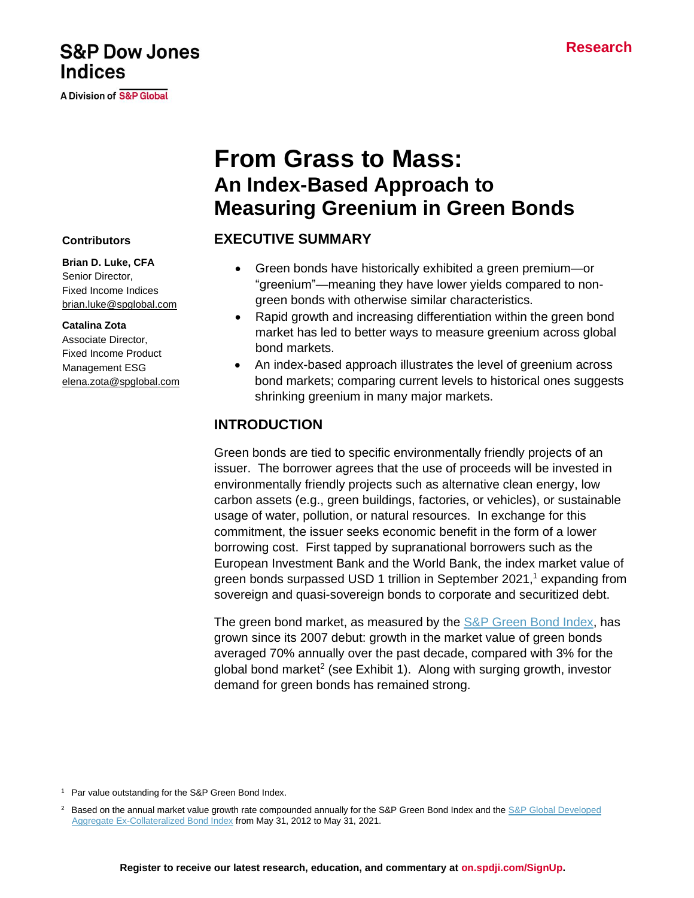## **Register to receive our latest research, education, and commentary at [on.spdji.com/SignUp.](https://on.spdji.com/SignUp.html?src=DocFooters)**

# **From Grass to Mass: An Index-Based Approach to**

## **EXECUTIVE SUMMARY**

• Green bonds have historically exhibited a green premium—or "greenium"—meaning they have lower yields compared to nongreen bonds with otherwise similar characteristics.

**Measuring Greenium in Green Bonds**

- Rapid growth and increasing differentiation within the green bond market has led to better ways to measure greenium across global bond markets.
- An index-based approach illustrates the level of greenium across bond markets; comparing current levels to historical ones suggests shrinking greenium in many major markets.

### **INTRODUCTION**

Green bonds are tied to specific environmentally friendly projects of an issuer. The borrower agrees that the use of proceeds will be invested in environmentally friendly projects such as alternative clean energy, low carbon assets (e.g., green buildings, factories, or vehicles), or sustainable usage of water, pollution, or natural resources. In exchange for this commitment, the issuer seeks economic benefit in the form of a lower borrowing cost. First tapped by supranational borrowers such as the European Investment Bank and the World Bank, the index market value of green bonds surpassed USD 1 trillion in September 2021, <sup>1</sup> expanding from sovereign and quasi-sovereign bonds to corporate and securitized debt.

The green bond market, as measured by the [S&P Green Bond Index,](https://www.spglobal.com/spdji/en/indices/esg/sp-green-bond-index?utm_source=pdf_education) has grown since its 2007 debut: growth in the market value of green bonds averaged 70% annually over the past decade, compared with 3% for the global bond market<sup>2</sup> (see Exhibit 1). Along with surging growth, investor demand for green bonds has remained strong.

#### **Contributors**

**Brian D. Luke, CFA** Senior Director, Fixed Income Indices [brian.luke@spglobal.com](mailto:brian.luke@spglobal.com)

#### **Catalina Zota**

Associate Director, Fixed Income Product Management ESG [elena.zota@spglobal.com](mailto:elena.zota@spglobal.com)

**A Division of S&P Global** 

<sup>&</sup>lt;sup>1</sup> Par value outstanding for the S&P Green Bond Index.

<sup>&</sup>lt;sup>2</sup> Based on the annual market value growth rate compounded annually for the S&P Green Bond Index and the S&P Global Developed [Aggregate Ex-Collateralized Bond Index](https://www.spglobal.com/spdji/en/indices/fixed-income/sp-global-developed-aggregate-ex-collateralized-bond-index?utm_source=pdf_education) from May 31, 2012 to May 31, 2021.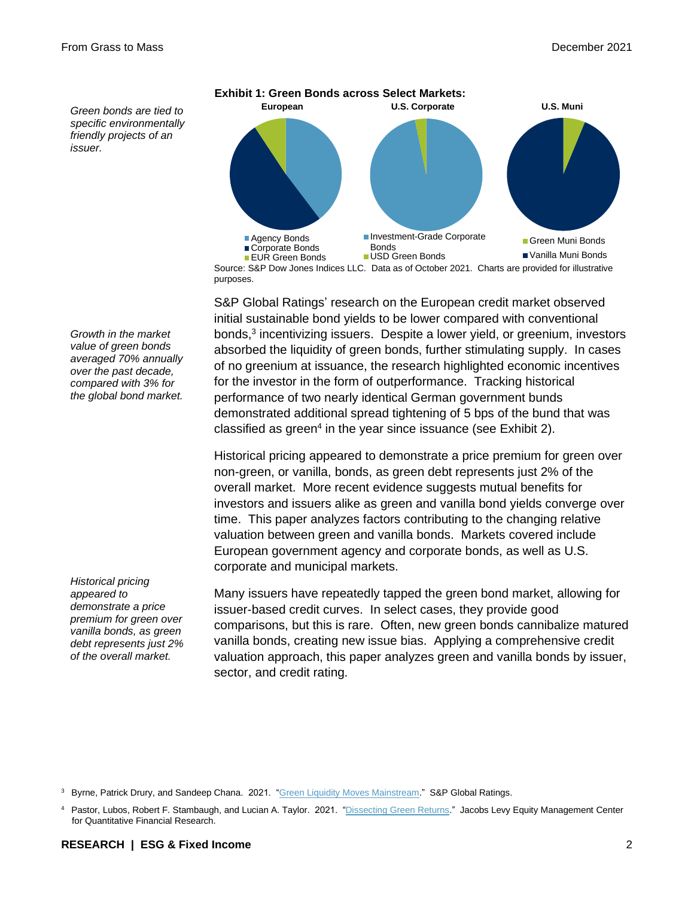*Green bonds are tied to specific environmentally friendly projects of an issuer.*



Source: S&P Dow Jones Indices LLC. Data as of October 2021. Charts are provided for illustrative purposes.

S&P Global Ratings' research on the European credit market observed initial sustainable bond yields to be lower compared with conventional bonds, 3 incentivizing issuers. Despite a lower yield, or greenium, investors absorbed the liquidity of green bonds, further stimulating supply. In cases of no greenium at issuance, the research highlighted economic incentives for the investor in the form of outperformance. Tracking historical performance of two nearly identical German government bunds demonstrated additional spread tightening of 5 bps of the bund that was classified as green<sup>4</sup> in the year since issuance (see Exhibit 2).

Historical pricing appeared to demonstrate a price premium for green over non-green, or vanilla, bonds, as green debt represents just 2% of the overall market. More recent evidence suggests mutual benefits for investors and issuers alike as green and vanilla bond yields converge over time. This paper analyzes factors contributing to the changing relative valuation between green and vanilla bonds. Markets covered include European government agency and corporate bonds, as well as U.S. corporate and municipal markets.

Many issuers have repeatedly tapped the green bond market, allowing for issuer-based credit curves. In select cases, they provide good comparisons, but this is rare. Often, new green bonds cannibalize matured vanilla bonds, creating new issue bias. Applying a comprehensive credit valuation approach, this paper analyzes green and vanilla bonds by issuer, sector, and credit rating.

<sup>3</sup> Byrne, Patrick Drury, and Sandeep Chana. 2021. ["Green Liquidity Moves Mainstream.](https://www.spglobal.com/en/research-insights/featured/green-liquidity-moves-mainstream)" S&P Global Ratings.

*Growth in the market value of green bonds averaged 70% annually over the past decade, compared with 3% for the global bond market.*

*Historical pricing appeared to demonstrate a price premium for green over vanilla bonds, as green debt represents just 2% of the overall market.*

<sup>4</sup> Pastor, Lubos, Robert F. Stambaugh, and Lucian A. Taylor. 2021. ["Dissecting Green Returns."](https://papers.ssrn.com/sol3/papers.cfm?abstract_id=3864502) Jacobs Levy Equity Management Center for Quantitative Financial Research.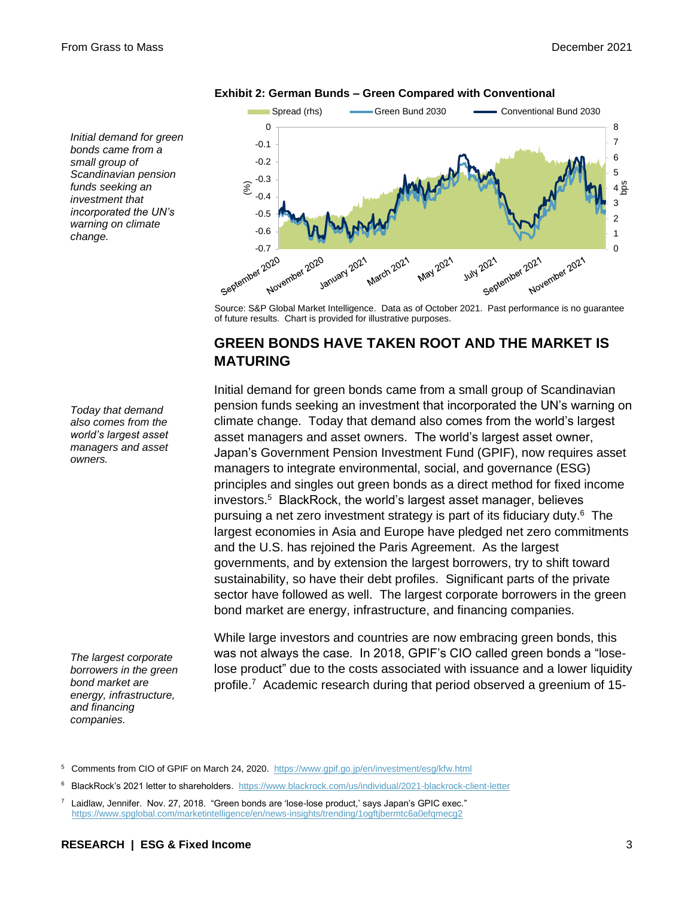*Initial demand for green bonds came from a small group of Scandinavian pension funds seeking an investment that incorporated the UN's warning on climate change.*



#### **Exhibit 2: German Bunds – Green Compared with Conventional**

Source: S&P Global Market Intelligence. Data as of October 2021. Past performance is no guarantee of future results. Chart is provided for illustrative purposes.

### **GREEN BONDS HAVE TAKEN ROOT AND THE MARKET IS MATURING**

Initial demand for green bonds came from a small group of Scandinavian pension funds seeking an investment that incorporated the UN's warning on climate change. Today that demand also comes from the world's largest asset managers and asset owners. The world's largest asset owner, Japan's Government Pension Investment Fund (GPIF), now requires asset managers to integrate environmental, social, and governance (ESG) principles and singles out green bonds as a direct method for fixed income investors. 5 BlackRock, the world's largest asset manager, believes pursuing a net zero investment strategy is part of its fiduciary duty.<sup>6</sup> The largest economies in Asia and Europe have pledged net zero commitments and the U.S. has rejoined the Paris Agreement. As the largest governments, and by extension the largest borrowers, try to shift toward sustainability, so have their debt profiles. Significant parts of the private sector have followed as well. The largest corporate borrowers in the green bond market are energy, infrastructure, and financing companies.

While large investors and countries are now embracing green bonds, this was not always the case. In 2018, GPIF's CIO called green bonds a "loselose product" due to the costs associated with issuance and a lower liquidity profile.<sup>7</sup> Academic research during that period observed a greenium of 15-

*Today that demand also comes from the world's largest asset managers and asset owners.*

*The largest corporate* 

*borrowers in the green bond market are energy, infrastructure,* 

*and financing companies.*

<sup>5</sup> Comments from CIO of GPIF on March 24, 2020.<https://www.gpif.go.jp/en/investment/esg/kfw.html>

<sup>6</sup> BlackRock's 2021 letter to shareholders.<https://www.blackrock.com/us/individual/2021-blackrock-client-letter>

<sup>7</sup> Laidlaw, Jennifer. Nov. 27, 2018. "Green bonds are 'lose-lose product,' says Japan's GPIC exec." <https://www.spglobal.com/marketintelligence/en/news-insights/trending/1ogftjbermtc6a0efqmecg2>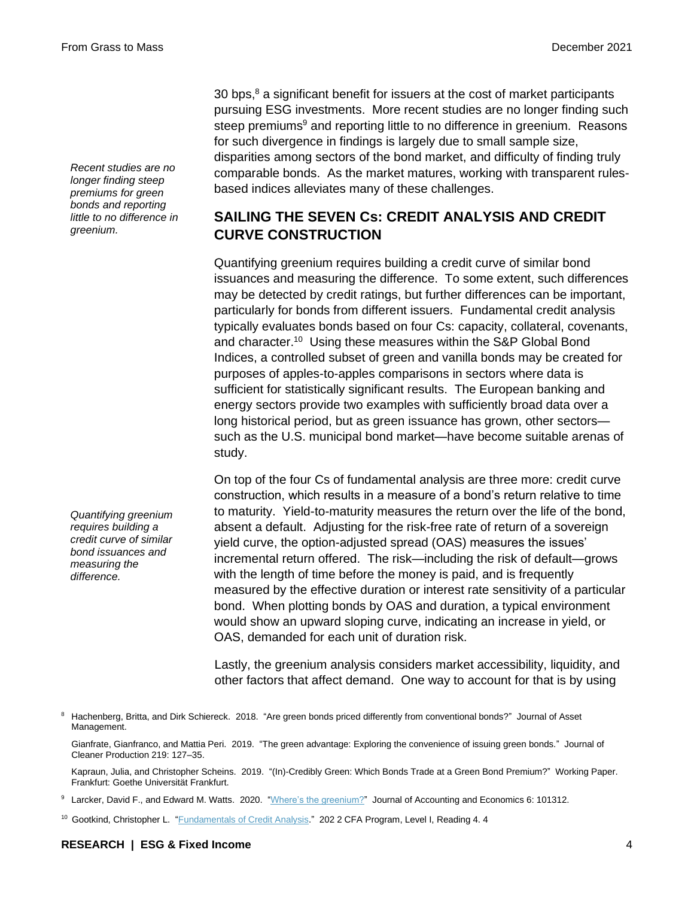*Recent studies are no longer finding steep premiums for green bonds and reporting little to no difference in greenium.*

*Quantifying greenium requires building a credit curve of similar bond issuances and measuring the difference.*

30 bps, <sup>8</sup> a significant benefit for issuers at the cost of market participants pursuing ESG investments. More recent studies are no longer finding such steep premiums<sup>9</sup> and reporting little to no difference in greenium. Reasons for such divergence in findings is largely due to small sample size, disparities among sectors of the bond market, and difficulty of finding truly comparable bonds. As the market matures, working with transparent rulesbased indices alleviates many of these challenges.

## **SAILING THE SEVEN Cs: CREDIT ANALYSIS AND CREDIT CURVE CONSTRUCTION**

Quantifying greenium requires building a credit curve of similar bond issuances and measuring the difference. To some extent, such differences may be detected by credit ratings, but further differences can be important, particularly for bonds from different issuers. Fundamental credit analysis typically evaluates bonds based on four Cs: capacity, collateral, covenants, and character.<sup>10</sup> Using these measures within the S&P Global Bond Indices, a controlled subset of green and vanilla bonds may be created for purposes of apples-to-apples comparisons in sectors where data is sufficient for statistically significant results. The European banking and energy sectors provide two examples with sufficiently broad data over a long historical period, but as green issuance has grown, other sectors such as the U.S. municipal bond market—have become suitable arenas of study.

On top of the four Cs of fundamental analysis are three more: credit curve construction, which results in a measure of a bond's return relative to time to maturity. Yield-to-maturity measures the return over the life of the bond, absent a default. Adjusting for the risk-free rate of return of a sovereign yield curve, the option-adjusted spread (OAS) measures the issues' incremental return offered. The risk—including the risk of default—grows with the length of time before the money is paid, and is frequently measured by the effective duration or interest rate sensitivity of a particular bond. When plotting bonds by OAS and duration, a typical environment would show an upward sloping curve, indicating an increase in yield, or OAS, demanded for each unit of duration risk.

Lastly, the greenium analysis considers market accessibility, liquidity, and other factors that affect demand. One way to account for that is by using

<sup>8</sup> Hachenberg, Britta, and Dirk Schiereck. 2018. "Are green bonds priced differently from conventional bonds?" Journal of Asset Management.

Gianfrate, Gianfranco, and Mattia Peri. 2019. "The green advantage: Exploring the convenience of issuing green bonds." Journal of Cleaner Production 219: 127–35.

Kapraun, Julia, and Christopher Scheins. 2019. "(In)-Credibly Green: Which Bonds Trade at a Green Bond Premium?" Working Paper. Frankfurt: Goethe Universität Frankfurt.

<sup>9</sup> Larcker, David F., and Edward M. Watts. 2020. ["Where's the greenium?"](https://www.sciencedirect.com/science/article/abs/pii/S0165410120300148) Journal of Accounting and Economics 6: 101312.

<sup>10</sup> Gootkind, Christopher L. ["Fundamentals of Credit Analysis."](https://www.cfainstitute.org/en/membership/professional-development/refresher-readings/fundamentals-credit-analysis) 202 2 CFA Program, Level I, Reading 4. 4

#### **RESEARCH | ESG & Fixed Income** 4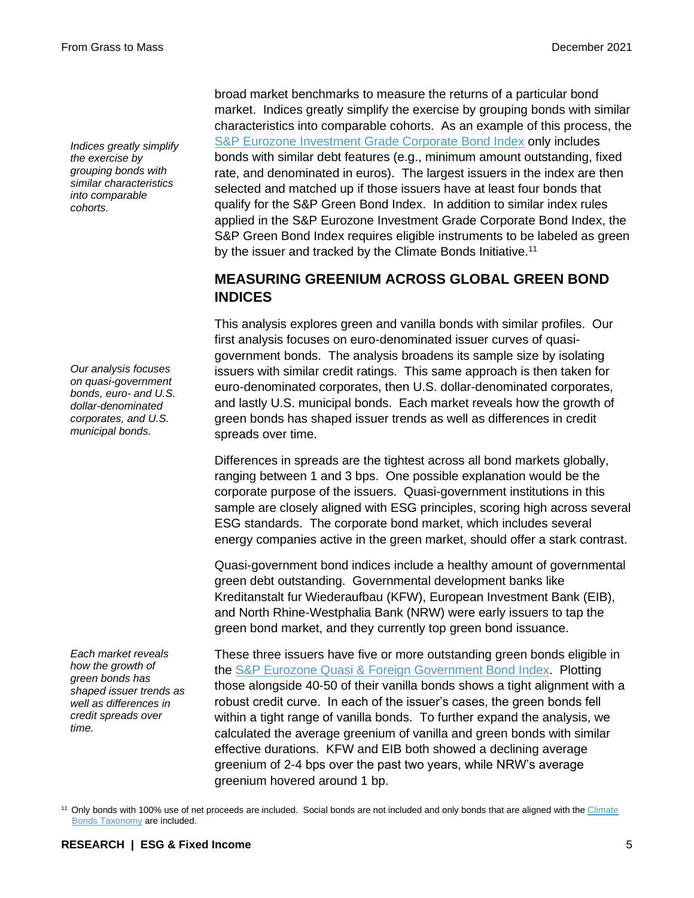*Indices greatly simplify the exercise by grouping bonds with similar characteristics into comparable cohorts.*

*Our analysis focuses on quasi-government bonds, euro- and U.S. dollar-denominated corporates, and U.S. municipal bonds.*

*Each market reveals how the growth of green bonds has shaped issuer trends as well as differences in credit spreads over time.*

broad market benchmarks to measure the returns of a particular bond market. Indices greatly simplify the exercise by grouping bonds with similar characteristics into comparable cohorts. As an example of this process, the [S&P Eurozone Investment Grade Corporate Bond Index](https://www.spglobal.com/spdji/en/indices/fixed-income/sp-eurozone-investment-grade-corporate-bond-index?utm_source=pdf_education) only includes bonds with similar debt features (e.g., minimum amount outstanding, fixed rate, and denominated in euros). The largest issuers in the index are then selected and matched up if those issuers have at least four bonds that qualify for the S&P Green Bond Index. In addition to similar index rules applied in the S&P Eurozone Investment Grade Corporate Bond Index, the S&P Green Bond Index requires eligible instruments to be labeled as green by the issuer and tracked by the Climate Bonds Initiative.<sup>11</sup>

## **MEASURING GREENIUM ACROSS GLOBAL GREEN BOND INDICES**

This analysis explores green and vanilla bonds with similar profiles. Our first analysis focuses on euro-denominated issuer curves of quasigovernment bonds. The analysis broadens its sample size by isolating issuers with similar credit ratings. This same approach is then taken for euro-denominated corporates, then U.S. dollar-denominated corporates, and lastly U.S. municipal bonds. Each market reveals how the growth of green bonds has shaped issuer trends as well as differences in credit spreads over time.

Differences in spreads are the tightest across all bond markets globally, ranging between 1 and 3 bps. One possible explanation would be the corporate purpose of the issuers. Quasi-government institutions in this sample are closely aligned with ESG principles, scoring high across several ESG standards. The corporate bond market, which includes several energy companies active in the green market, should offer a stark contrast.

Quasi-government bond indices include a healthy amount of governmental green debt outstanding. Governmental development banks like Kreditanstalt fur Wiederaufbau (KFW), European Investment Bank (EIB), and North Rhine-Westphalia Bank (NRW) were early issuers to tap the green bond market, and they currently top green bond issuance.

These three issuers have five or more outstanding green bonds eligible in the [S&P Eurozone Quasi & Foreign Government Bond Index.](https://www.spglobal.com/spdji/en/indices/fixed-income/sp-eurozone-quasi-foreign-government-bond-index?utm_source=pdf_education) Plotting those alongside 40-50 of their vanilla bonds shows a tight alignment with a robust credit curve. In each of the issuer's cases, the green bonds fell within a tight range of vanilla bonds. To further expand the analysis, we calculated the average greenium of vanilla and green bonds with similar effective durations. KFW and EIB both showed a declining average greenium of 2-4 bps over the past two years, while NRW's average greenium hovered around 1 bp.

<sup>11</sup> Only bonds with 100% use of net proceeds are included. Social bonds are not included and only bonds that are aligned with the Climate [Bonds Taxonomy](https://www.climatebonds.net/standard/taxonomy) are included.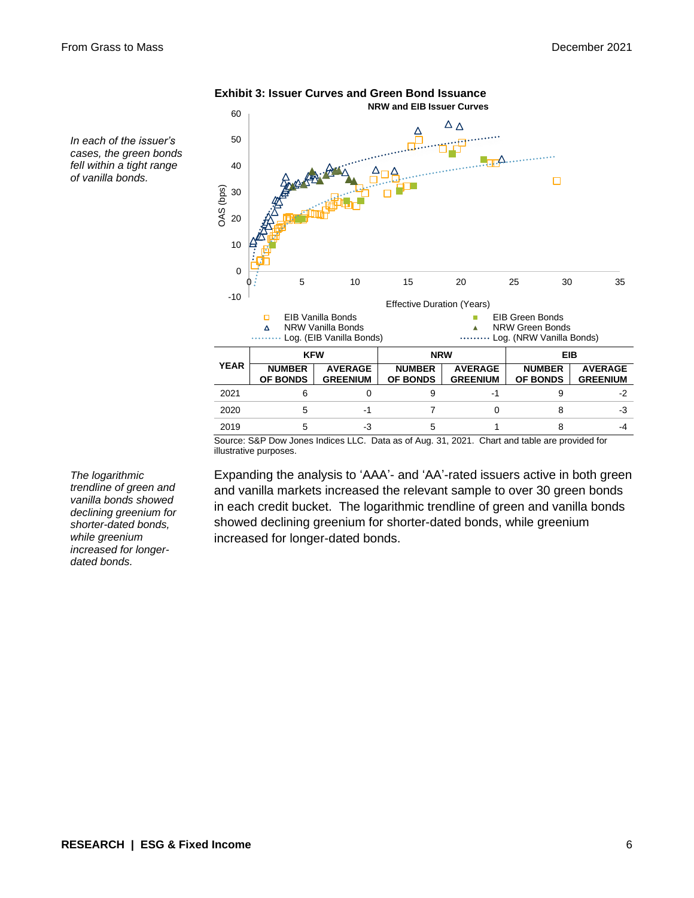*In each of the issuer's cases, the green bonds fell within a tight range of vanilla bonds.*



**Exhibit 3: Issuer Curves and Green Bond Issuance**

Source: S&P Dow Jones Indices LLC. Data as of Aug. 31, 2021. Chart and table are provided for

illustrative purposes.

*The logarithmic trendline of green and vanilla bonds showed declining greenium for shorter-dated bonds, while greenium increased for longerdated bonds.*

Expanding the analysis to 'AAA'- and 'AA'-rated issuers active in both green and vanilla markets increased the relevant sample to over 30 green bonds in each credit bucket. The logarithmic trendline of green and vanilla bonds showed declining greenium for shorter-dated bonds, while greenium increased for longer-dated bonds.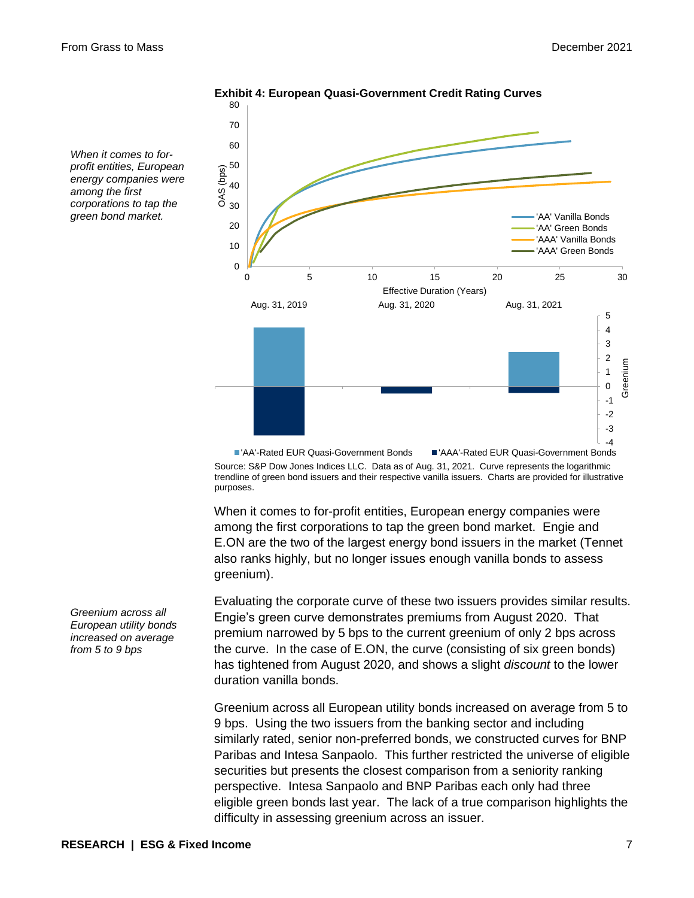*When it comes to forprofit entities, European energy companies were among the first corporations to tap the green bond market.*

80



**Exhibit 4: European Quasi-Government Credit Rating Curves**

Source: S&P Dow Jones Indices LLC. Data as of Aug. 31, 2021. Curve represents the logarithmic trendline of green bond issuers and their respective vanilla issuers. Charts are provided for illustrative purposes. 'AA'-Rated EUR Quasi-Government Bonds 'AAA'-Rated EUR Quasi-Government Bonds

When it comes to for-profit entities, European energy companies were among the first corporations to tap the green bond market. Engie and E.ON are the two of the largest energy bond issuers in the market (Tennet also ranks highly, but no longer issues enough vanilla bonds to assess greenium).

Evaluating the corporate curve of these two issuers provides similar results. Engie's green curve demonstrates premiums from August 2020. That premium narrowed by 5 bps to the current greenium of only 2 bps across the curve. In the case of E.ON, the curve (consisting of six green bonds) has tightened from August 2020, and shows a slight *discount* to the lower duration vanilla bonds.

Greenium across all European utility bonds increased on average from 5 to 9 bps. Using the two issuers from the banking sector and including similarly rated, senior non-preferred bonds, we constructed curves for BNP Paribas and Intesa Sanpaolo. This further restricted the universe of eligible securities but presents the closest comparison from a seniority ranking perspective. Intesa Sanpaolo and BNP Paribas each only had three eligible green bonds last year. The lack of a true comparison highlights the difficulty in assessing greenium across an issuer.

*Greenium across all European utility bonds increased on average from 5 to 9 bps*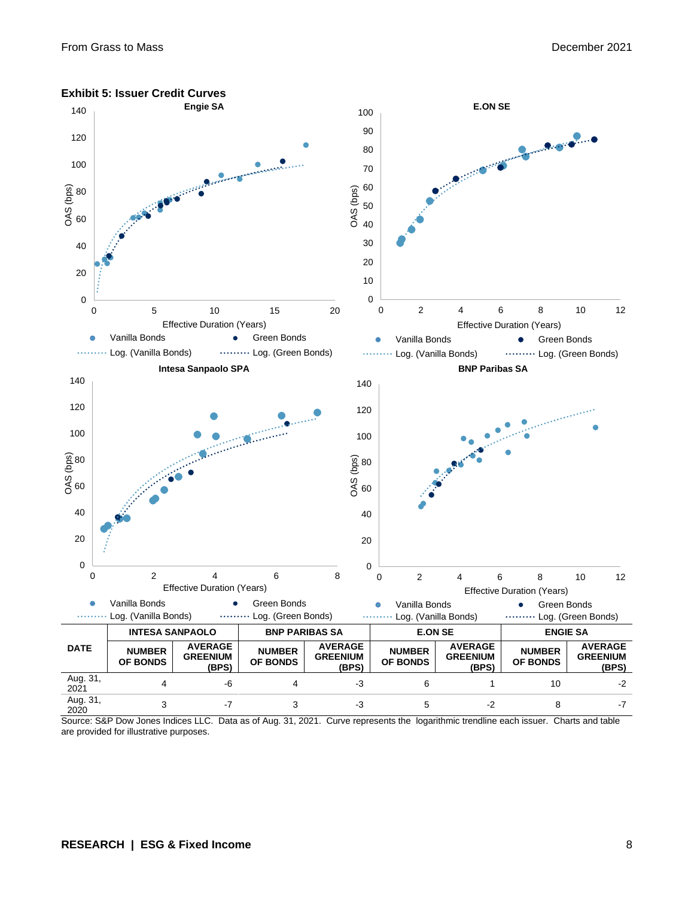

#### **Exhibit 5: Issuer Credit Curves**

Source: S&P Dow Jones Indices LLC. Data as of Aug. 31, 2021. Curve represents the logarithmic trendline each issuer. Charts and table are provided for illustrative purposes.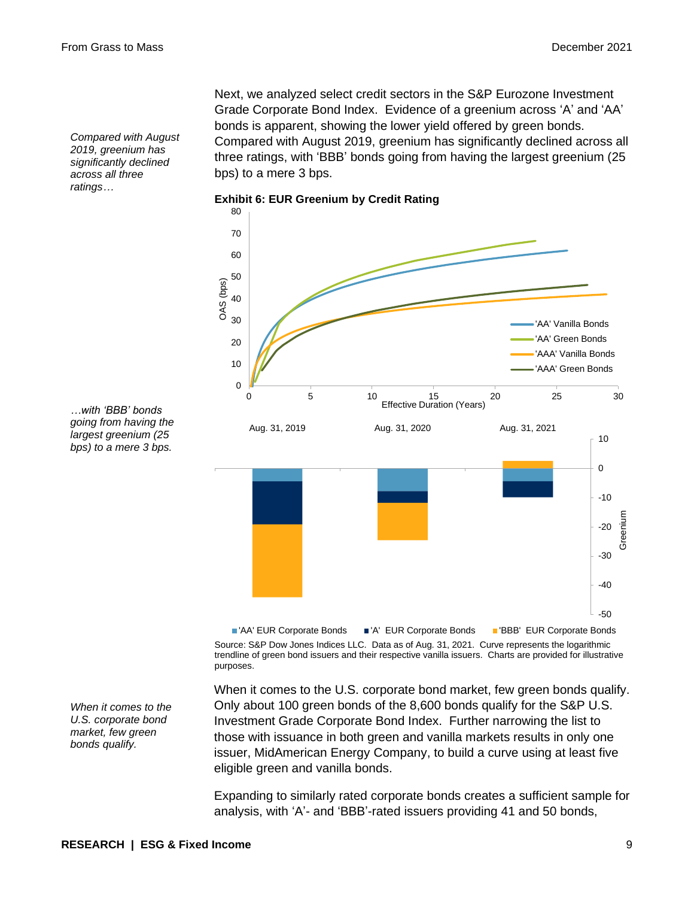*Compared with August 2019, greenium has significantly declined across all three ratings…*

Next, we analyzed select credit sectors in the S&P Eurozone Investment Grade Corporate Bond Index. Evidence of a greenium across 'A' and 'AA' bonds is apparent, showing the lower yield offered by green bonds. Compared with August 2019, greenium has significantly declined across all three ratings, with 'BBB' bonds going from having the largest greenium (25 bps) to a mere 3 bps.

**Exhibit 6: EUR Greenium by Credit Rating**



*…with 'BBB' bonds going from having the largest greenium (25 bps) to a mere 3 bps.*

> Source: S&P Dow Jones Indices LLC. Data as of Aug. 31, 2021. Curve represents the logarithmic trendline of green bond issuers and their respective vanilla issuers. Charts are provided for illustrative purposes. 'AA' EUR Corporate Bonds 'A' EUR Corporate Bonds 'BBB' EUR Corporate Bonds

When it comes to the U.S. corporate bond market, few green bonds qualify. Only about 100 green bonds of the 8,600 bonds qualify for the S&P U.S. Investment Grade Corporate Bond Index. Further narrowing the list to those with issuance in both green and vanilla markets results in only one issuer, MidAmerican Energy Company, to build a curve using at least five eligible green and vanilla bonds.

Expanding to similarly rated corporate bonds creates a sufficient sample for analysis, with 'A'- and 'BBB'-rated issuers providing 41 and 50 bonds,

*When it comes to the U.S. corporate bond market, few green bonds qualify.*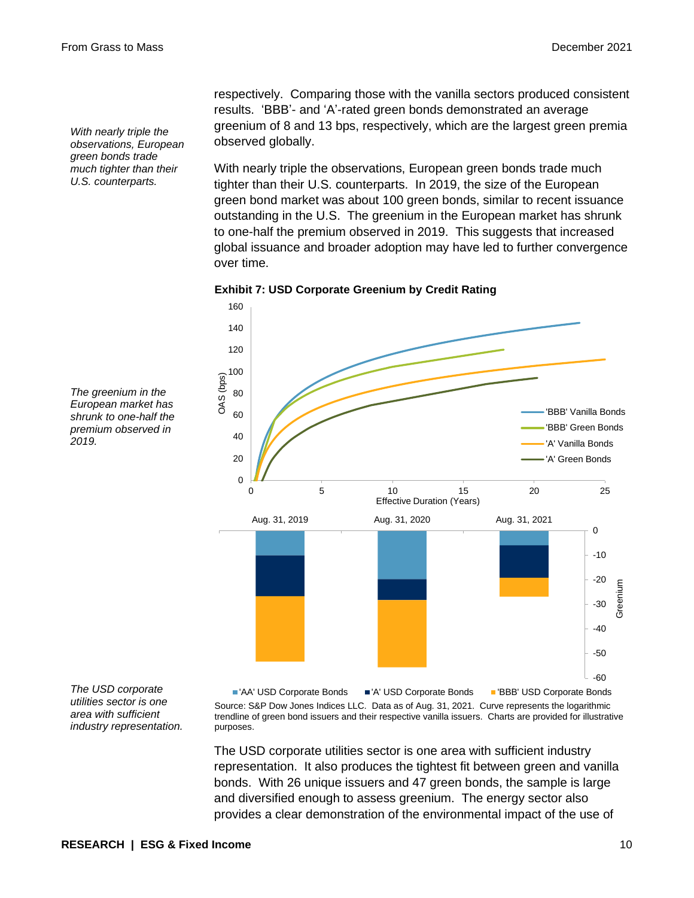*With nearly triple the observations, European green bonds trade much tighter than their U.S. counterparts.*

respectively. Comparing those with the vanilla sectors produced consistent results. 'BBB'- and 'A'-rated green bonds demonstrated an average greenium of 8 and 13 bps, respectively, which are the largest green premia observed globally.

With nearly triple the observations, European green bonds trade much tighter than their U.S. counterparts. In 2019, the size of the European green bond market was about 100 green bonds, similar to recent issuance outstanding in the U.S. The greenium in the European market has shrunk to one-half the premium observed in 2019. This suggests that increased global issuance and broader adoption may have led to further convergence over time.





*The greenium in the European market has shrunk to one-half the premium observed in 2019.*

*The USD corporate utilities sector is one area with sufficient industry representation.*

Source: S&P Dow Jones Indices LLC. Data as of Aug. 31, 2021. Curve represents the logarithmic trendline of green bond issuers and their respective vanilla issuers. Charts are provided for illustrative purposes. 'AA' USD Corporate Bonds 'A' USD Corporate Bonds 'BBB' USD Corporate Bonds

The USD corporate utilities sector is one area with sufficient industry representation. It also produces the tightest fit between green and vanilla bonds. With 26 unique issuers and 47 green bonds, the sample is large and diversified enough to assess greenium. The energy sector also provides a clear demonstration of the environmental impact of the use of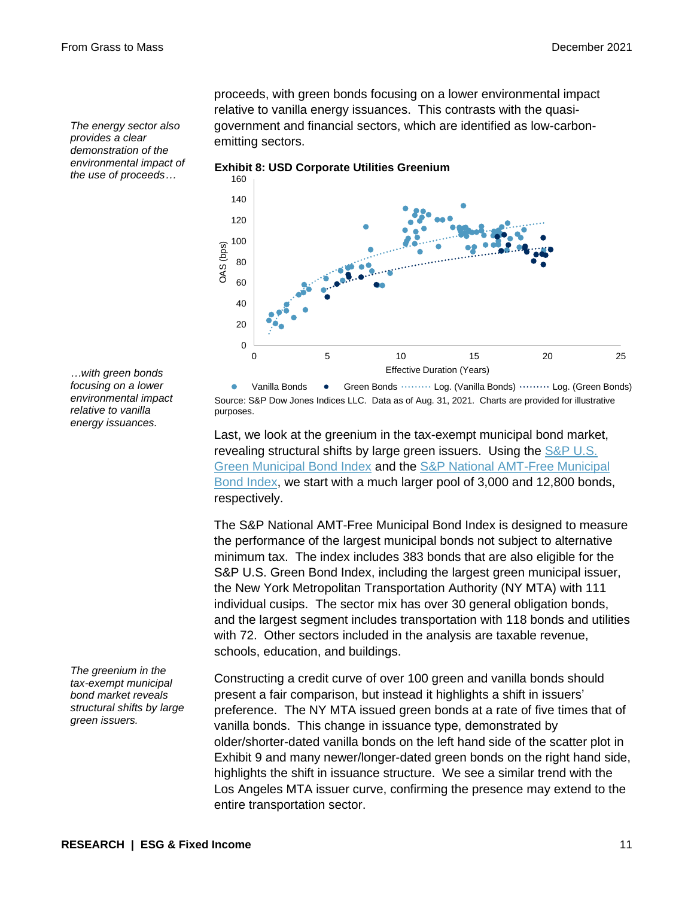*The energy sector also provides a clear demonstration of the environmental impact of the use of proceeds…*

proceeds, with green bonds focusing on a lower environmental impact relative to vanilla energy issuances. This contrasts with the quasigovernment and financial sectors, which are identified as low-carbonemitting sectors.

**Exhibit 8: USD Corporate Utilities Greenium**



*…with green bonds focusing on a lower environmental impact relative to vanilla energy issuances.*

Source: S&P Dow Jones Indices LLC. Data as of Aug. 31, 2021. Charts are provided for illustrative purposes. Vanilla Bonds • Green Bonds ········· Log. (Vanilla Bonds) ········· Log. (Green Bonds)

Last, we look at the greenium in the tax-exempt municipal bond market, revealing structural shifts by large green issuers. Using the S&P U.S. [Green Municipal Bond Index](https://www.spglobal.com/spdji/en/indices/esg/sp-us-municipal-green-bond-index?utm_source=pdf_education) and the [S&P National AMT-Free Municipal](https://www.spglobal.com/spdji/en/indices/fixed-income/sp-national-amt-free-municipal-bond-index?utm_source=pdf_education)  [Bond Index,](https://www.spglobal.com/spdji/en/indices/fixed-income/sp-national-amt-free-municipal-bond-index?utm_source=pdf_education) we start with a much larger pool of 3,000 and 12,800 bonds, respectively.

The S&P National AMT-Free Municipal Bond Index is designed to measure the performance of the largest municipal bonds not subject to alternative minimum tax. The index includes 383 bonds that are also eligible for the S&P U.S. Green Bond Index, including the largest green municipal issuer, the New York Metropolitan Transportation Authority (NY MTA) with 111 individual cusips. The sector mix has over 30 general obligation bonds, and the largest segment includes transportation with 118 bonds and utilities with 72. Other sectors included in the analysis are taxable revenue, schools, education, and buildings.

Constructing a credit curve of over 100 green and vanilla bonds should present a fair comparison, but instead it highlights a shift in issuers' preference. The NY MTA issued green bonds at a rate of five times that of vanilla bonds. This change in issuance type, demonstrated by older/shorter-dated vanilla bonds on the left hand side of the scatter plot in Exhibit 9 and many newer/longer-dated green bonds on the right hand side, highlights the shift in issuance structure. We see a similar trend with the Los Angeles MTA issuer curve, confirming the presence may extend to the entire transportation sector.

*The greenium in the tax-exempt municipal bond market reveals structural shifts by large green issuers.*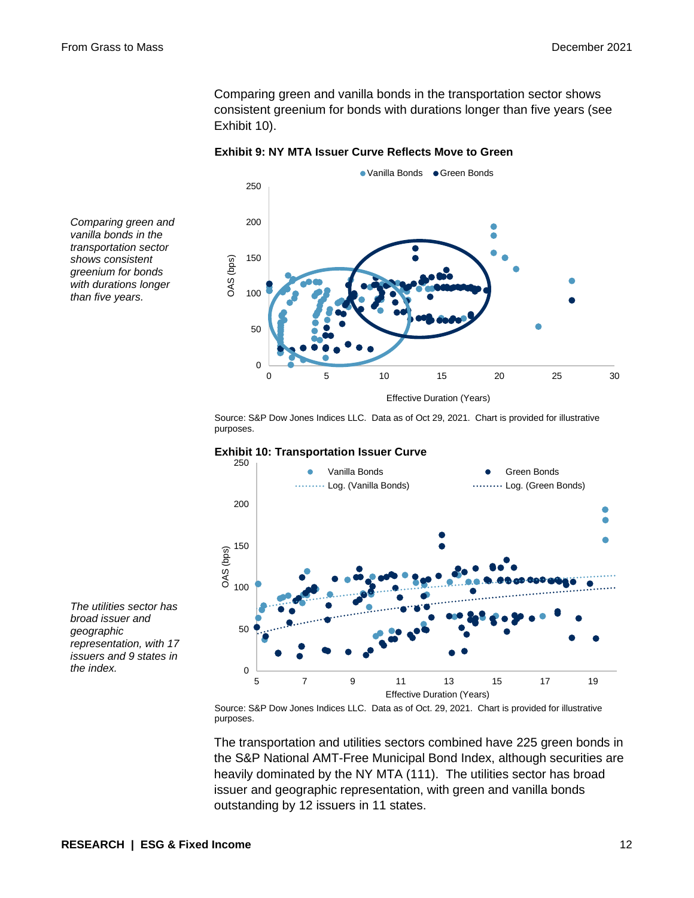Comparing green and vanilla bonds in the transportation sector shows consistent greenium for bonds with durations longer than five years (see Exhibit 10).

**Exhibit 9: NY MTA Issuer Curve Reflects Move to Green**



Source: S&P Dow Jones Indices LLC. Data as of Oct 29, 2021. Chart is provided for illustrative purposes.



#### **Exhibit 10: Transportation Issuer Curve**

Source: S&P Dow Jones Indices LLC. Data as of Oct. 29, 2021. Chart is provided for illustrative purposes.

The transportation and utilities sectors combined have 225 green bonds in the S&P National AMT-Free Municipal Bond Index, although securities are heavily dominated by the NY MTA (111). The utilities sector has broad issuer and geographic representation, with green and vanilla bonds outstanding by 12 issuers in 11 states.

*Comparing green and vanilla bonds in the transportation sector shows consistent greenium for bonds with durations longer than five years.*

*The utilities sector has broad issuer and geographic representation, with 17 issuers and 9 states in the index.*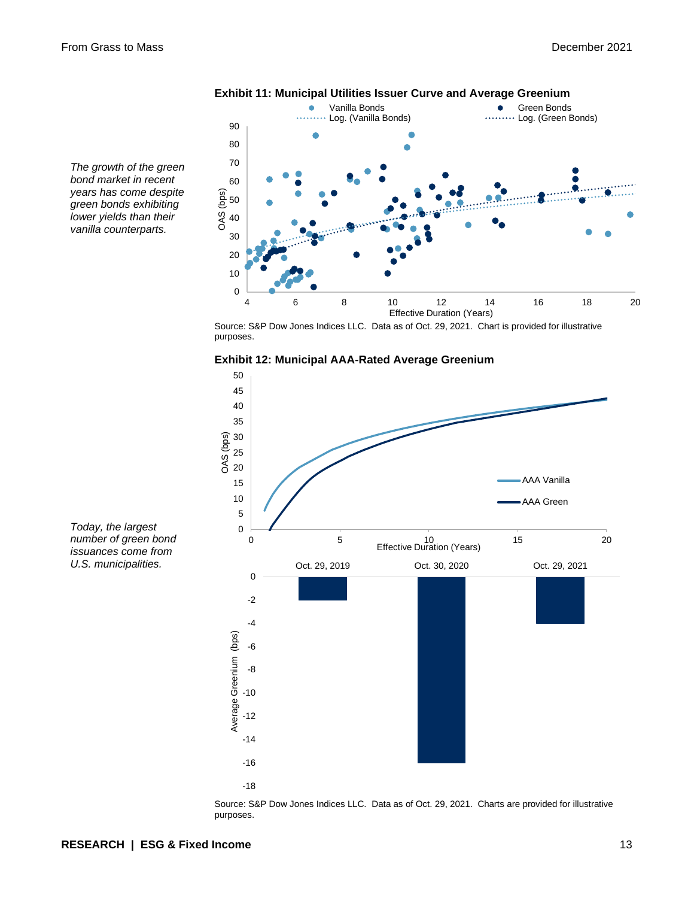

## **Exhibit 11: Municipal Utilities Issuer Curve and Average Greenium**

*bond market in recent years has come despite green bonds exhibiting lower yields than their vanilla counterparts.*

*Today, the largest number of green bond issuances come from U.S. municipalities.*

*The growth of the green* 

Source: S&P Dow Jones Indices LLC. Data as of Oct. 29, 2021. Chart is provided for illustrative purposes.



**Exhibit 12: Municipal AAA-Rated Average Greenium**

Source: S&P Dow Jones Indices LLC. Data as of Oct. 29, 2021. Charts are provided for illustrative purposes.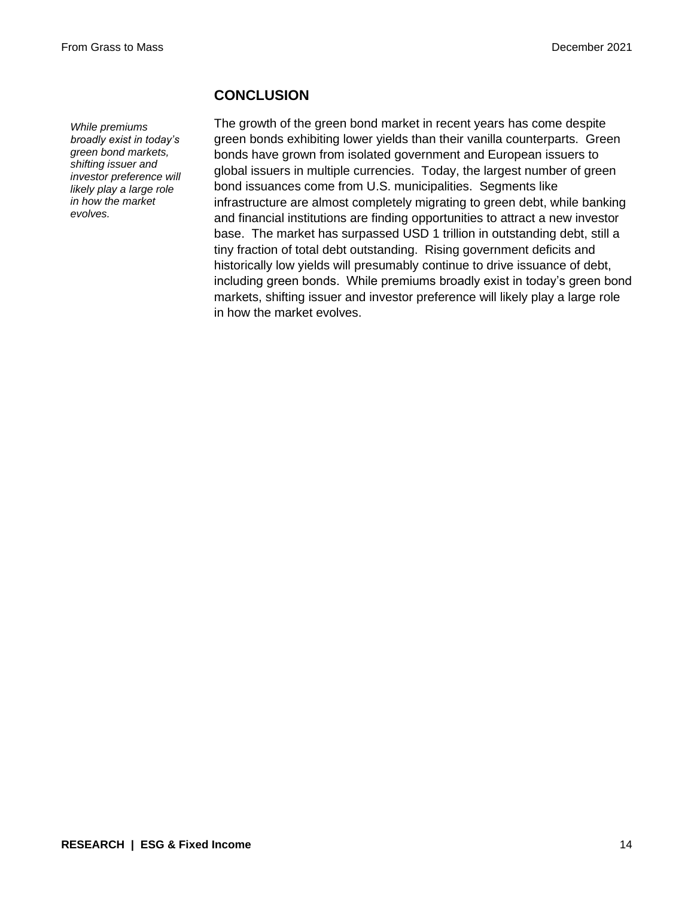*While premiums broadly exist in today's green bond markets, shifting issuer and investor preference will likely play a large role in how the market evolves.*

#### **CONCLUSION**

The growth of the green bond market in recent years has come despite green bonds exhibiting lower yields than their vanilla counterparts. Green bonds have grown from isolated government and European issuers to global issuers in multiple currencies. Today, the largest number of green bond issuances come from U.S. municipalities. Segments like infrastructure are almost completely migrating to green debt, while banking and financial institutions are finding opportunities to attract a new investor base. The market has surpassed USD 1 trillion in outstanding debt, still a tiny fraction of total debt outstanding. Rising government deficits and historically low yields will presumably continue to drive issuance of debt, including green bonds. While premiums broadly exist in today's green bond markets, shifting issuer and investor preference will likely play a large role in how the market evolves.